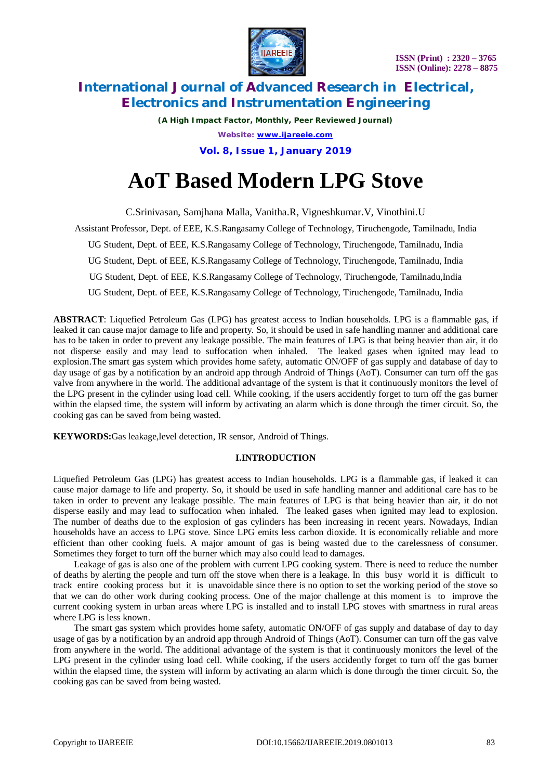

*(A High Impact Factor, Monthly, Peer Reviewed Journal) Website: [www.ijareeie.com](http://www.ijareeie.com)* **Vol. 8, Issue 1, January 2019**

# **AoT Based Modern LPG Stove**

C.Srinivasan, Samjhana Malla, Vanitha.R, Vigneshkumar.V, Vinothini.U

Assistant Professor, Dept. of EEE, K.S.Rangasamy College of Technology, Tiruchengode, Tamilnadu, India UG Student, Dept. of EEE, K.S.Rangasamy College of Technology, Tiruchengode, Tamilnadu, India UG Student, Dept. of EEE, K.S.Rangasamy College of Technology, Tiruchengode, Tamilnadu, India UG Student, Dept. of EEE, K.S.Rangasamy College of Technology, Tiruchengode, Tamilnadu,India

UG Student, Dept. of EEE, K.S.Rangasamy College of Technology, Tiruchengode, Tamilnadu, India

**ABSTRACT**: Liquefied Petroleum Gas (LPG) has greatest access to Indian households. LPG is a flammable gas, if leaked it can cause major damage to life and property. So, it should be used in safe handling manner and additional care has to be taken in order to prevent any leakage possible. The main features of LPG is that being heavier than air, it do not disperse easily and may lead to suffocation when inhaled. The leaked gases when ignited may lead to explosion.The smart gas system which provides home safety, automatic ON/OFF of gas supply and database of day to day usage of gas by a notification by an android app through Android of Things (AoT). Consumer can turn off the gas valve from anywhere in the world. The additional advantage of the system is that it continuously monitors the level of the LPG present in the cylinder using load cell. While cooking, if the users accidently forget to turn off the gas burner within the elapsed time, the system will inform by activating an alarm which is done through the timer circuit. So, the cooking gas can be saved from being wasted.

**KEYWORDS:**Gas leakage,level detection, IR sensor, Android of Things.

#### **I.INTRODUCTION**

Liquefied Petroleum Gas (LPG) has greatest access to Indian households. LPG is a flammable gas, if leaked it can cause major damage to life and property. So, it should be used in safe handling manner and additional care has to be taken in order to prevent any leakage possible. The main features of LPG is that being heavier than air, it do not disperse easily and may lead to suffocation when inhaled. The leaked gases when ignited may lead to explosion. The number of deaths due to the explosion of gas cylinders has been increasing in recent years. Nowadays, Indian households have an access to LPG stove. Since LPG emits less carbon dioxide. It is economically reliable and more efficient than other cooking fuels. A major amount of gas is being wasted due to the carelessness of consumer. Sometimes they forget to turn off the burner which may also could lead to damages.

 Leakage of gas is also one of the problem with current LPG cooking system. There is need to reduce the number of deaths by alerting the people and turn off the stove when there is a leakage. In this busy world it is difficult to track entire cooking process but it is unavoidable since there is no option to set the working period of the stove so that we can do other work during cooking process. One of the major challenge at this moment is to improve the current cooking system in urban areas where LPG is installed and to install LPG stoves with smartness in rural areas where LPG is less known.

 The smart gas system which provides home safety, automatic ON/OFF of gas supply and database of day to day usage of gas by a notification by an android app through Android of Things (AoT). Consumer can turn off the gas valve from anywhere in the world. The additional advantage of the system is that it continuously monitors the level of the LPG present in the cylinder using load cell. While cooking, if the users accidently forget to turn off the gas burner within the elapsed time, the system will inform by activating an alarm which is done through the timer circuit. So, the cooking gas can be saved from being wasted.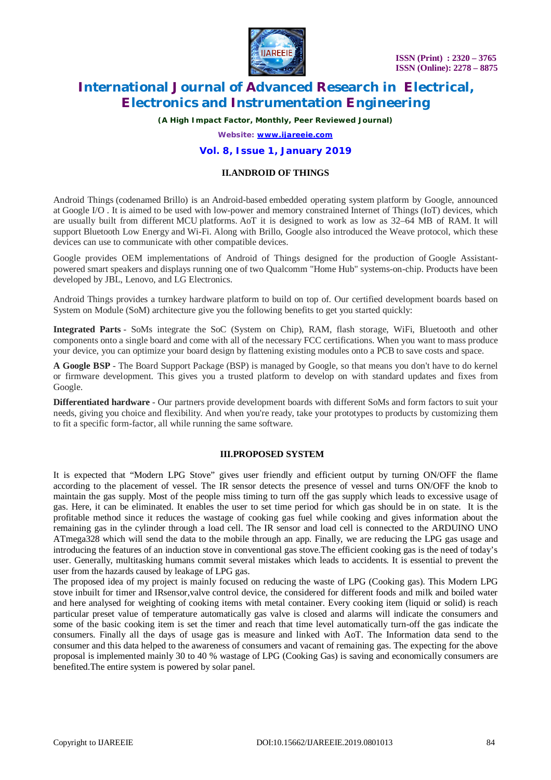

*(A High Impact Factor, Monthly, Peer Reviewed Journal)*

*Website: [www.ijareeie.com](http://www.ijareeie.com)*

#### **Vol. 8, Issue 1, January 2019**

#### **II.ANDROID OF THINGS**

Android Things (codenamed Brillo) is an Android-based embedded operating system platform by Google, announced at Google I/O . It is aimed to be used with low-power and memory constrained Internet of Things (IoT) devices, which are usually built from different MCU platforms. AoT it is designed to work as low as 32–64 MB of RAM. It will support Bluetooth Low Energy and Wi-Fi. Along with Brillo, Google also introduced the Weave protocol, which these devices can use to communicate with other compatible devices.

Google provides OEM implementations of Android of Things designed for the production of Google Assistantpowered smart speakers and displays running one of two Qualcomm "Home Hub" systems-on-chip. Products have been developed by JBL, Lenovo, and LG Electronics.

Android Things provides a turnkey hardware platform to build on top of. Our certified development boards based on System on Module (SoM) architecture give you the following benefits to get you started quickly:

**Integrated Parts** - SoMs integrate the SoC (System on Chip), RAM, flash storage, WiFi, Bluetooth and other components onto a single board and come with all of the necessary FCC certifications. When you want to mass produce your device, you can optimize your board design by flattening existing modules onto a PCB to save costs and space.

**A Google BSP** - The Board Support Package (BSP) is managed by Google, so that means you don't have to do kernel or firmware development. This gives you a trusted platform to develop on with standard updates and fixes from Google.

**Differentiated hardware** - Our partners provide development boards with different SoMs and form factors to suit your needs, giving you choice and flexibility. And when you're ready, take your prototypes to products by customizing them to fit a specific form-factor, all while running the same software.

#### **III.PROPOSED SYSTEM**

It is expected that "Modern LPG Stove" gives user friendly and efficient output by turning ON/OFF the flame according to the placement of vessel. The IR sensor detects the presence of vessel and turns ON/OFF the knob to maintain the gas supply. Most of the people miss timing to turn off the gas supply which leads to excessive usage of gas. Here, it can be eliminated. It enables the user to set time period for which gas should be in on state. It is the profitable method since it reduces the wastage of cooking gas fuel while cooking and gives information about the remaining gas in the cylinder through a load cell. The IR sensor and load cell is connected to the ARDUINO UNO ATmega328 which will send the data to the mobile through an app. Finally, we are reducing the LPG gas usage and introducing the features of an induction stove in conventional gas stove.The efficient cooking gas is the need of today's user. Generally, multitasking humans commit several mistakes which leads to accidents. It is essential to prevent the user from the hazards caused by leakage of LPG gas.

The proposed idea of my project is mainly focused on reducing the waste of LPG (Cooking gas). This Modern LPG stove inbuilt for timer and IRsensor,valve control device, the considered for different foods and milk and boiled water and here analysed for weighting of cooking items with metal container. Every cooking item (liquid or solid) is reach particular preset value of temperature automatically gas valve is closed and alarms will indicate the consumers and some of the basic cooking item is set the timer and reach that time level automatically turn-off the gas indicate the consumers. Finally all the days of usage gas is measure and linked with AoT. The Information data send to the consumer and this data helped to the awareness of consumers and vacant of remaining gas. The expecting for the above proposal is implemented mainly 30 to 40 % wastage of LPG (Cooking Gas) is saving and economically consumers are benefited.The entire system is powered by solar panel.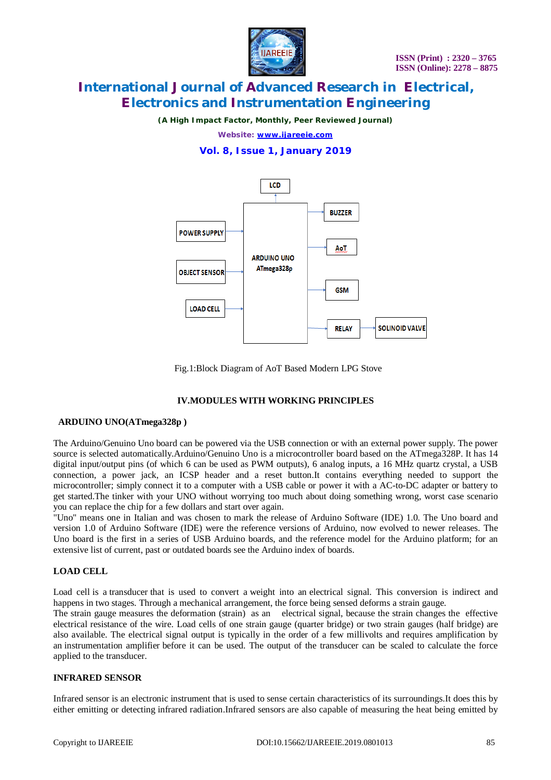

*(A High Impact Factor, Monthly, Peer Reviewed Journal)*

*Website: [www.ijareeie.com](http://www.ijareeie.com)*

### **Vol. 8, Issue 1, January 2019**



Fig.1:Block Diagram of AoT Based Modern LPG Stove

#### **IV.MODULES WITH WORKING PRINCIPLES**

#### **ARDUINO UNO(ATmega328p )**

The Arduino/Genuino Uno board can be powered via the USB connection or with an external power supply. The power source is selected automatically.Arduino/Genuino Uno is a microcontroller board based on the ATmega328P. It has 14 digital input/output pins (of which 6 can be used as PWM outputs), 6 analog inputs, a 16 MHz quartz crystal, a USB connection, a power jack, an ICSP header and a reset button.It contains everything needed to support the microcontroller; simply connect it to a computer with a USB cable or power it with a AC-to-DC adapter or battery to get started.The tinker with your UNO without worrying too much about doing something wrong, worst case scenario you can replace the chip for a few dollars and start over again.

"Uno" means one in Italian and was chosen to mark the release of Arduino Software (IDE) 1.0. The Uno board and version 1.0 of Arduino Software (IDE) were the reference versions of Arduino, now evolved to newer releases. The Uno board is the first in a series of USB Arduino boards, and the reference model for the Arduino platform; for an extensive list of current, past or outdated boards see the Arduino index of boards.

#### **LOAD CELL**

Load cell is a transducer that is used to convert a weight into an electrical signal. This conversion is indirect and happens in two stages. Through a mechanical arrangement, the force being sensed deforms a strain gauge.

The strain gauge measures the deformation (strain) as an electrical signal, because the strain changes the effective electrical resistance of the wire. Load cells of one strain gauge (quarter bridge) or two strain gauges (half bridge) are also available. The electrical signal output is typically in the order of a few millivolts and requires amplification by an instrumentation amplifier before it can be used. The output of the transducer can be scaled to calculate the force applied to the transducer.

#### **INFRARED SENSOR**

Infrared sensor is an electronic instrument that is used to sense certain characteristics of its surroundings.It does this by either emitting or detecting infrared radiation.Infrared sensors are also capable of measuring the heat being emitted by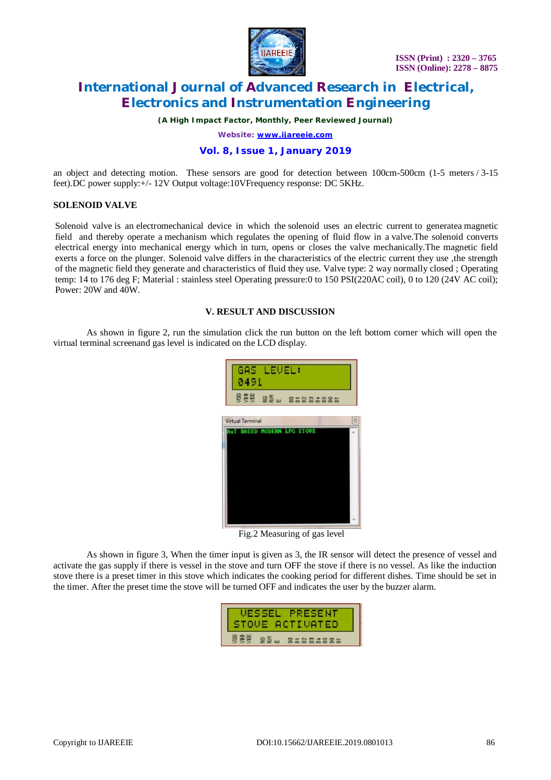

*(A High Impact Factor, Monthly, Peer Reviewed Journal)*

*Website: [www.ijareeie.com](http://www.ijareeie.com)*

#### **Vol. 8, Issue 1, January 2019**

an object and detecting motion. These sensors are good for detection between 100cm-500cm (1-5 meters / 3-15 feet).DC power supply:+/- 12V Output voltage:10VFrequency response: DC 5KHz.

#### **SOLENOID VALVE**

Solenoid valve is an electromechanical device in which the solenoid uses an electric current to generatea magnetic field and thereby operate a mechanism which regulates the opening of fluid flow in a valve.The solenoid converts electrical energy into mechanical energy which in turn, opens or closes the valve mechanically.The magnetic field exerts a force on the plunger. Solenoid valve differs in the characteristics of the electric current they use ,the strength of the magnetic field they generate and characteristics of fluid they use. Valve type: 2 way normally closed ; Operating temp: 14 to 176 deg F; Material : stainless steel Operating pressure:0 to 150 PSI(220AC coil), 0 to 120 (24V AC coil); Power: 20W and 40W.

#### **V. RESULT AND DISCUSSION**

As shown in figure 2, run the simulation click the run button on the left bottom corner which will open the virtual terminal screenand gas level is indicated on the LCD display.

| GAS LEVEL:<br>0491                |                    |
|-----------------------------------|--------------------|
| <b>BEW 22 - 85885886</b>          |                    |
| <b>Virtual Terminal</b>           | $\boldsymbol{\Xi}$ |
| <b>AoT BASED MODERN LPG STOUE</b> |                    |
|                                   |                    |

Fig.2 Measuring of gas level

As shown in figure 3, When the timer input is given as 3, the IR sensor will detect the presence of vessel and activate the gas supply if there is vessel in the stove and turn OFF the stove if there is no vessel. As like the induction stove there is a preset timer in this stove which indicates the cooking period for different dishes. Time should be set in the timer. After the preset time the stove will be turned OFF and indicates the user by the buzzer alarm.

| VESSEL PRESENT<br>STOVE ACTIVATED |                                |
|-----------------------------------|--------------------------------|
|                                   | $92 \geq m$<br><b>BINDINGS</b> |